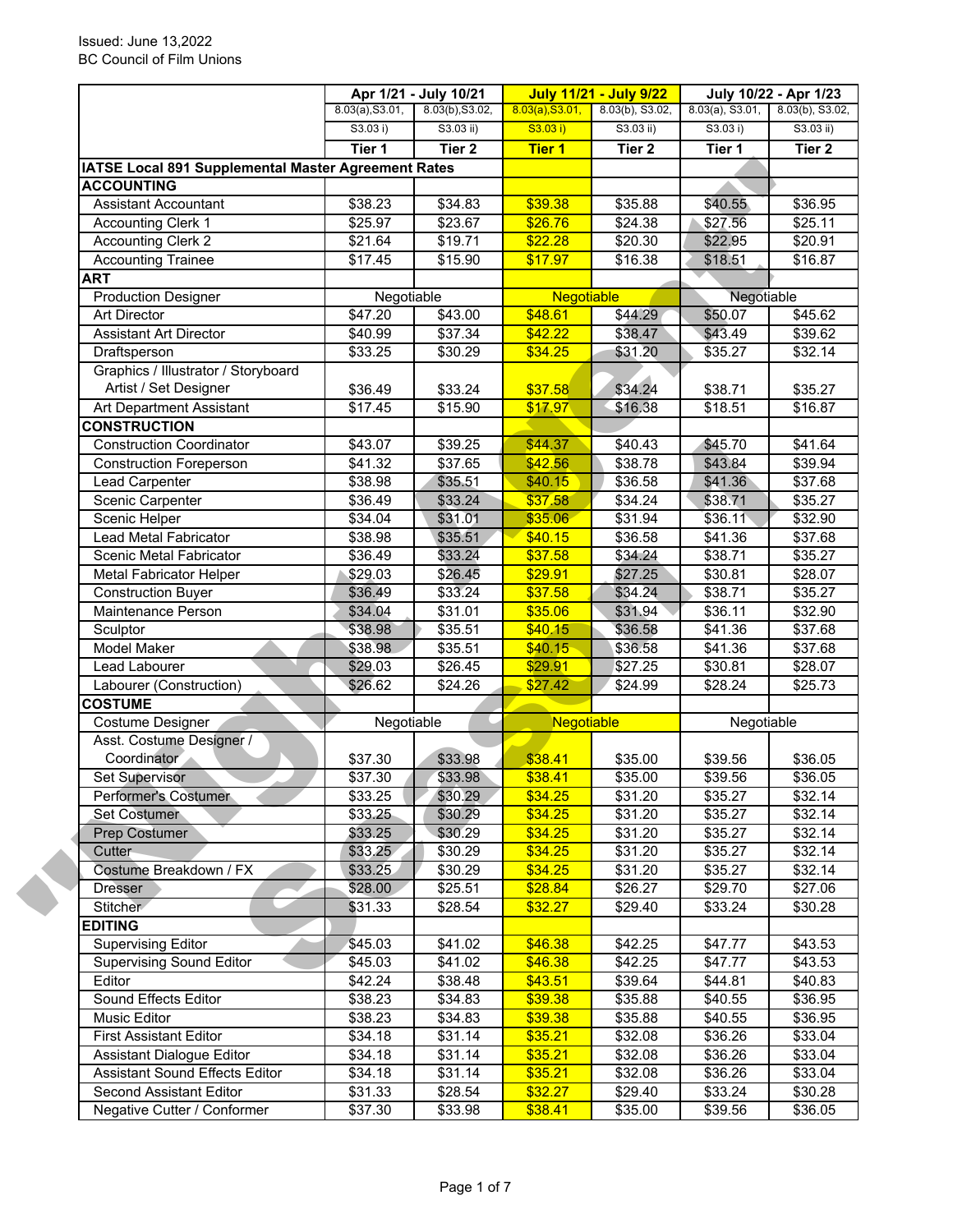|                                                            |                 | Apr 1/21 - July 10/21 |                   | <b>July 11/21 - July 9/22</b> |                     | July 10/22 - Apr 1/23 |
|------------------------------------------------------------|-----------------|-----------------------|-------------------|-------------------------------|---------------------|-----------------------|
|                                                            | 8.03(a), S3.01, | 8.03(b), S3.02,       | 8.03(a), S3.01,   | 8.03(b), S3.02,               | $8.03(a)$ , S3.01,  | 8.03(b), S3.02,       |
|                                                            | S3.03 i)        | S3.03 ii)             | S3.03 i)          | S3.03 ii)                     | S3.03 i)            | S3.03 ii)             |
|                                                            | Tier 1          | Tier <sub>2</sub>     | <b>Tier 1</b>     | Tier <sub>2</sub>             | Tier 1              | Tier <sub>2</sub>     |
| <b>IATSE Local 891 Supplemental Master Agreement Rates</b> |                 |                       |                   |                               |                     |                       |
| <b>ACCOUNTING</b>                                          |                 |                       |                   |                               |                     |                       |
| <b>Assistant Accountant</b>                                | \$38.23         | \$34.83               | \$39.38           | \$35.88                       | \$40.55             | \$36.95               |
| <b>Accounting Clerk 1</b>                                  | \$25.97         | \$23.67               | \$26.76           | \$24.38                       | \$27.56             | \$25.11               |
| <b>Accounting Clerk 2</b>                                  | \$21.64         | \$19.71               | \$22.28           | \$20.30                       | \$22.95             | \$20.91               |
| <b>Accounting Trainee</b>                                  | \$17.45         | \$15.90               | \$17.97           | \$16.38                       | \$18.51             | \$16.87               |
| <b>ART</b>                                                 |                 |                       |                   |                               |                     |                       |
| <b>Production Designer</b>                                 | Negotiable      |                       | <b>Negotiable</b> |                               | Negotiable          |                       |
| <b>Art Director</b>                                        | \$47.20         | \$43.00               | \$48.61           | \$44.29                       | \$50.07             | \$45.62               |
| <b>Assistant Art Director</b>                              | \$40.99         | \$37.34               | \$42.22           | \$38.47                       | \$43.49             | \$39.62               |
| Draftsperson                                               | \$33.25         | \$30.29               | \$34.25           | \$31.20                       | \$35.27             | \$32.14               |
| Graphics / Illustrator / Storyboard                        |                 |                       |                   |                               |                     |                       |
| Artist / Set Designer                                      | \$36.49         | \$33.24               | \$37.58           | \$34.24                       | \$38.71             | \$35.27               |
| Art Department Assistant                                   | \$17.45         | \$15.90               | \$17.97           | \$16.38                       | \$18.51             | \$16.87               |
| <b>CONSTRUCTION</b>                                        |                 |                       |                   |                               |                     |                       |
| <b>Construction Coordinator</b>                            | \$43.07         | \$39.25               | \$44.37           | \$40.43                       | \$45.70             | \$41.64               |
| <b>Construction Foreperson</b>                             | \$41.32         | \$37.65               | \$42.56           | \$38.78                       | \$43.84             | \$39.94               |
| Lead Carpenter                                             | \$38.98         | \$35.51               | \$40.15           | \$36.58                       | \$41.36             | \$37.68               |
| Scenic Carpenter                                           | \$36.49         | \$33.24               | \$37.58           | \$34.24                       | \$38.71             | \$35.27               |
| Scenic Helper                                              | \$34.04         | \$31.01               | \$35.06           | \$31.94                       | \$36.11             | \$32.90               |
| Lead Metal Fabricator                                      | \$38.98         | \$35.51               | \$40.15           | \$36.58                       | \$41.36             | \$37.68               |
| Scenic Metal Fabricator                                    | \$36.49         | \$33.24               | \$37.58           | \$34.24                       | \$38.71             | \$35.27               |
| Metal Fabricator Helper                                    | \$29.03         | \$26.45               | \$29.91           | \$27.25                       | \$30.81             | \$28.07               |
| <b>Construction Buyer</b>                                  | \$36.49         | \$33.24               | \$37.58           | \$34.24                       | \$38.71             | \$35.27               |
| Maintenance Person                                         | \$34.04         | \$31.01               | \$35.06           | \$31.94                       | \$36.11             | \$32.90               |
| Sculptor                                                   | \$38.98         | \$35.51               | \$40.15           | \$36.58                       | \$41.36             | \$37.68               |
| <b>Model Maker</b>                                         | \$38.98         | \$35.51               | \$40.15           | \$36.58                       | \$41.36             | \$37.68               |
| Lead Labourer                                              | \$29.03         | \$26.45               | \$29.91           | \$27.25                       | \$30.81             | \$28.07               |
| Labourer (Construction)                                    | \$26.62         | \$24.26               | \$27.42           | \$24.99                       | \$28.24             | \$25.73               |
| <b>COSTUME</b>                                             |                 |                       |                   |                               |                     |                       |
| Costume Designer                                           | Negotiable      |                       | Negotiable        |                               | Negotiable          |                       |
| Asst. Costume Designer /                                   |                 |                       |                   |                               |                     |                       |
| Coordinator                                                | \$37.30         | \$33.98               | \$38.41           | \$35.00                       | \$39.56             | \$36.05               |
| Set Supervisor                                             | \$37.30         | \$33.98               | \$38.41           | \$35.00                       | \$39.56             | \$36.05               |
| Performer's Costumer                                       | \$33.25         | \$30.29               | \$34.25           | \$31.20                       | \$35.27             | \$32.14               |
| Set Costumer                                               | \$33.25         | \$30.29               | \$34.25           | \$31.20                       | \$35.27             | \$32.14               |
| Prep Costumer                                              | \$33.25         | \$30.29               | \$34.25           | \$31.20                       | \$35.27             | \$32.14               |
| Cutter                                                     | \$33.25         | \$30.29               | \$34.25           | \$31.20                       | \$35.27             | \$32.14               |
| Costume Breakdown / FX                                     | \$33.25         | \$30.29               | \$34.25           | \$31.20                       | \$35.27             | \$32.14               |
| <b>Dresser</b>                                             | \$28.00         | \$25.51               | \$28.84           | \$26.27                       | \$29.70             | \$27.06               |
| Stitcher                                                   | \$31.33         | \$28.54               | \$32.27           | \$29.40                       | \$33.24             | \$30.28               |
| <b>EDITING</b>                                             |                 |                       |                   |                               |                     |                       |
| <b>Supervising Editor</b>                                  | \$45.03         | \$41.02               | \$46.38           | \$42.25                       | \$47.77             | \$43.53               |
| <b>Supervising Sound Editor</b>                            |                 |                       |                   |                               |                     |                       |
| Editor                                                     | \$45.03         | \$41.02               | \$46.38           | \$42.25                       | \$47.77             | \$43.53               |
|                                                            | \$42.24         | \$38.48               | \$43.51           | \$39.64                       | \$44.81             | \$40.83               |
| Sound Effects Editor                                       | \$38.23         | \$34.83               | \$39.38           | \$35.88                       | \$40.55             | \$36.95               |
| Music Editor                                               | \$38.23         | \$34.83               | \$39.38           | \$35.88                       | \$40.55             | \$36.95               |
| <b>First Assistant Editor</b>                              | \$34.18         | \$31.14               | \$35.21           | \$32.08                       | \$36.26             | \$33.04               |
| Assistant Dialogue Editor                                  | \$34.18         | \$31.14               | \$35.21           | \$32.08                       | \$36.26             | \$33.04               |
| <b>Assistant Sound Effects Editor</b>                      | \$34.18         | \$31.14               | \$35.21           | \$32.08                       | \$36.26             | \$33.04               |
| Second Assistant Editor                                    | \$31.33         | \$28.54               | \$32.27           | \$29.40                       | \$33.24             | \$30.28               |
| Negative Cutter / Conformer                                | \$37.30         | \$33.98               | \$38.41           | \$35.00                       | $\overline{$}39.56$ | \$36.05               |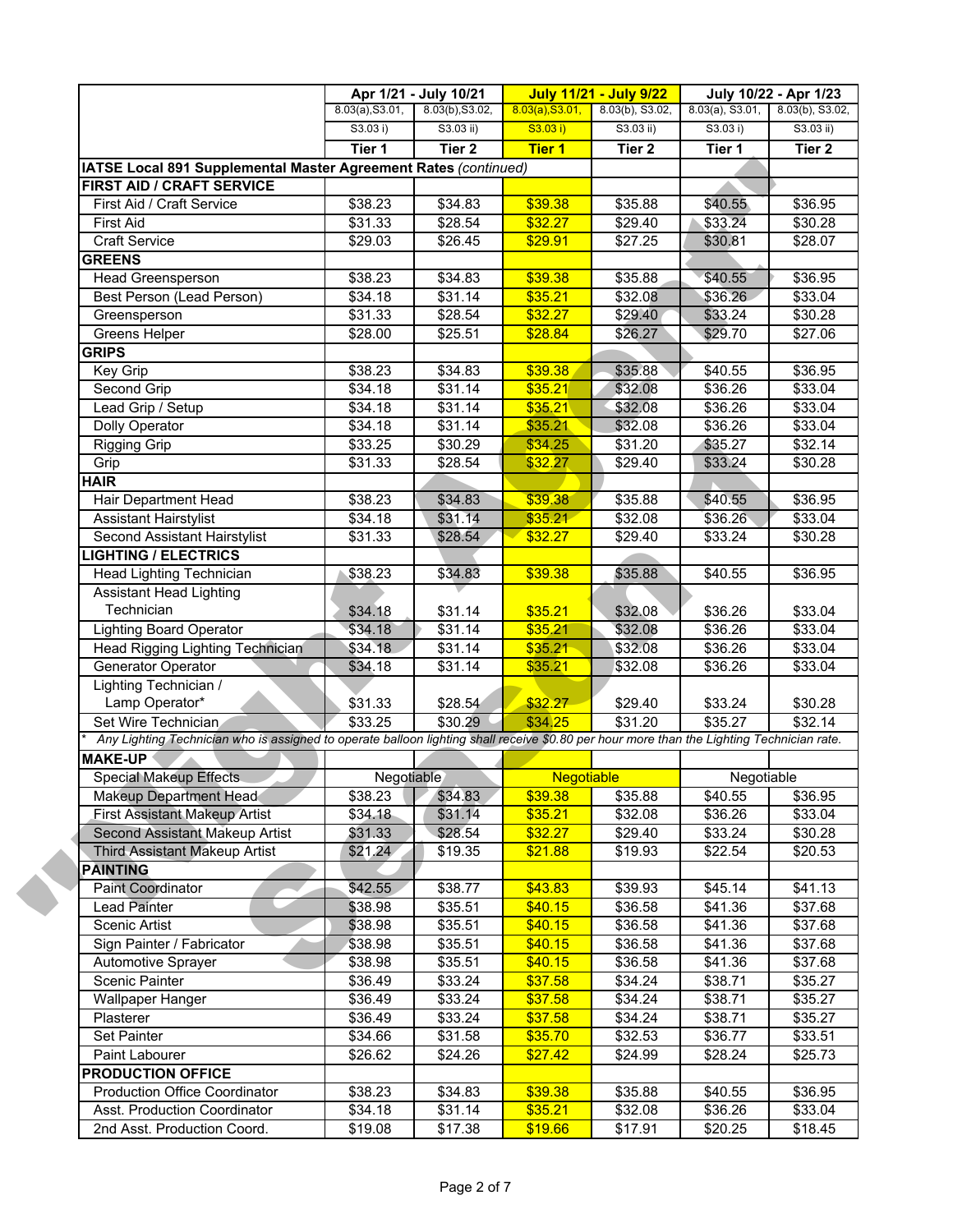|                                                                                                                                           |                     | Apr 1/21 - July 10/21 |                   | <b>July 11/21 - July 9/22</b> | July 10/22 - Apr 1/23 |                   |
|-------------------------------------------------------------------------------------------------------------------------------------------|---------------------|-----------------------|-------------------|-------------------------------|-----------------------|-------------------|
|                                                                                                                                           | 8.03(a), S3.01,     | 8.03(b), S3.02,       | 8.03(a), S3.01,   | 8.03(b), S3.02,               | $8.03(a)$ , S3.01,    | 8.03(b), S3.02,   |
|                                                                                                                                           | S3.03 i)            | $S3.03$ ii)           | S3.03 i)          | $S3.03$ ii)                   | S3.03 i)              | $S3.03$ ii)       |
|                                                                                                                                           | Tier 1              | Tier <sub>2</sub>     | <b>Tier 1</b>     | Tier <sub>2</sub>             | Tier 1                | Tier <sub>2</sub> |
| IATSE Local 891 Supplemental Master Agreement Rates (continued)                                                                           |                     |                       |                   |                               |                       |                   |
| FIRST AID / CRAFT SERVICE                                                                                                                 |                     |                       |                   |                               |                       |                   |
| First Aid / Craft Service                                                                                                                 | \$38.23             | \$34.83               | \$39.38           | \$35.88                       | \$40.55               | \$36.95           |
| <b>First Aid</b>                                                                                                                          | \$31.33             | \$28.54               | \$32.27           | \$29.40                       | \$33.24               | \$30.28           |
| <b>Craft Service</b>                                                                                                                      | \$29.03             | \$26.45               | \$29.91           | \$27.25                       | \$30.81               | \$28.07           |
| <b>GREENS</b>                                                                                                                             |                     |                       |                   |                               |                       |                   |
| <b>Head Greensperson</b>                                                                                                                  | \$38.23             | \$34.83               | \$39.38           | \$35.88                       | \$40.55               | \$36.95           |
| Best Person (Lead Person)                                                                                                                 | \$34.18             | \$31.14               | \$35.21           | \$32.08                       | \$36.26               | \$33.04           |
| Greensperson                                                                                                                              | \$31.33             | \$28.54               | \$32.27           | \$29.40                       | \$33.24               | \$30.28           |
| Greens Helper                                                                                                                             | \$28.00             | \$25.51               | \$28.84           | \$26.27                       | \$29.70               | \$27.06           |
| <b>GRIPS</b>                                                                                                                              |                     |                       |                   |                               |                       |                   |
| Key Grip                                                                                                                                  | \$38.23             | \$34.83               | \$39.38           | \$35.88                       | \$40.55               | \$36.95           |
| Second Grip                                                                                                                               | \$34.18             | \$31.14               | \$35.21           | \$32.08                       | \$36.26               | \$33.04           |
| Lead Grip / Setup                                                                                                                         | \$34.18             | \$31.14               | \$35.21           | \$32.08                       | \$36.26               | \$33.04           |
| Dolly Operator                                                                                                                            | \$34.18             | \$31.14               | \$35.21           | \$32.08                       | \$36.26               | \$33.04           |
| <b>Rigging Grip</b>                                                                                                                       | \$33.25             | \$30.29               | \$34.25           | \$31.20                       | \$35.27               | \$32.14           |
| Grip                                                                                                                                      | \$31.33             | \$28.54               | \$32.27           | \$29.40                       | \$33.24               | \$30.28           |
| <b>HAIR</b>                                                                                                                               |                     |                       |                   |                               |                       |                   |
| Hair Department Head                                                                                                                      | \$38.23             | \$34.83               | \$39.38           | \$35.88                       | \$40.55               | \$36.95           |
| <b>Assistant Hairstylist</b>                                                                                                              | $\overline{$}34.18$ | \$31.14               | \$35.21           | \$32.08                       | \$36.26               | \$33.04           |
| Second Assistant Hairstylist                                                                                                              | \$31.33             | \$28.54               | \$32.27           | \$29.40                       | \$33.24               | \$30.28           |
| <b>LIGHTING / ELECTRICS</b>                                                                                                               |                     |                       |                   |                               |                       |                   |
| Head Lighting Technician                                                                                                                  | \$38.23             | \$34.83               | \$39.38           | \$35.88                       | \$40.55               | \$36.95           |
| <b>Assistant Head Lighting</b>                                                                                                            |                     |                       |                   |                               |                       |                   |
| Technician                                                                                                                                | \$34.18             | \$31.14               | \$35.21           | \$32.08                       | \$36.26               | \$33.04           |
| <b>Lighting Board Operator</b>                                                                                                            | \$34.18             | $\overline{$}31.14$   | \$35.21           | \$32.08                       | \$36.26               | \$33.04           |
| Head Rigging Lighting Technician                                                                                                          | \$34.18             | $\overline{$31.14}$   | \$35.21           | \$32.08                       | \$36.26               | \$33.04           |
| Generator Operator                                                                                                                        | \$34.18             | \$31.14               | \$35.21           | \$32.08                       | \$36.26               | \$33.04           |
| Lighting Technician /                                                                                                                     |                     |                       |                   |                               |                       |                   |
| Lamp Operator*                                                                                                                            | \$31.33             | \$28.54               | \$32.27           | \$29.40                       | \$33.24               | \$30.28           |
| Set Wire Technician                                                                                                                       | \$33.25             | \$30.29               | \$34.25           | \$31.20                       | \$35.27               | \$32.14           |
| Any Lighting Technician who is assigned to operate balloon lighting shall receive \$0.80 per hour more than the Lighting Technician rate. |                     |                       |                   |                               |                       |                   |
| <b>MAKE-UP</b>                                                                                                                            |                     |                       |                   |                               |                       |                   |
| <b>Special Makeup Effects</b>                                                                                                             | Negotiable          |                       | <b>Negotiable</b> |                               | Negotiable            |                   |
| Makeup Department Head                                                                                                                    | \$38.23             | \$34.83               | \$39.38           | \$35.88                       | \$40.55               | \$36.95           |
| <b>First Assistant Makeup Artist</b>                                                                                                      | \$34.18             | \$31.14               | \$35.21           | \$32.08                       | \$36.26               | \$33.04           |
| Second Assistant Makeup Artist                                                                                                            | \$31.33             | \$28.54               | \$32.27           | \$29.40                       | \$33.24               | \$30.28           |
| Third Assistant Makeup Artist                                                                                                             | \$21.24             | \$19.35               | \$21.88           | \$19.93                       | \$22.54               | \$20.53           |
| <b>PAINTING</b>                                                                                                                           |                     |                       |                   |                               |                       |                   |
| <b>Paint Coordinator</b>                                                                                                                  | \$42.55             | \$38.77               | \$43.83           | \$39.93                       | \$45.14               | \$41.13           |
| Lead Painter                                                                                                                              | \$38.98             | \$35.51               | \$40.15           | \$36.58                       | \$41.36               | \$37.68           |
| <b>Scenic Artist</b>                                                                                                                      | \$38.98             | \$35.51               | \$40.15           | \$36.58                       | \$41.36               | \$37.68           |
| Sign Painter / Fabricator                                                                                                                 | \$38.98             | \$35.51               | \$40.15           | \$36.58                       | \$41.36               | \$37.68           |
| Automotive Sprayer                                                                                                                        | \$38.98             | \$35.51               | \$40.15           | \$36.58                       | \$41.36               | \$37.68           |
| <b>Scenic Painter</b>                                                                                                                     | \$36.49             | \$33.24               | \$37.58           | \$34.24                       | \$38.71               | \$35.27           |
| Wallpaper Hanger                                                                                                                          | \$36.49             | \$33.24               | \$37.58           | \$34.24                       | \$38.71               | \$35.27           |
| Plasterer                                                                                                                                 | \$36.49             | \$33.24               | \$37.58           | \$34.24                       | \$38.71               | \$35.27           |
| Set Painter                                                                                                                               | \$34.66             | \$31.58               | \$35.70           | \$32.53                       | \$36.77               | \$33.51           |
| Paint Labourer                                                                                                                            | \$26.62             | \$24.26               | \$27.42           | \$24.99                       | \$28.24               | \$25.73           |
| <b>PRODUCTION OFFICE</b>                                                                                                                  |                     |                       |                   |                               |                       |                   |
| <b>Production Office Coordinator</b>                                                                                                      | \$38.23             | \$34.83               | \$39.38           | \$35.88                       | \$40.55               | \$36.95           |
| Asst. Production Coordinator                                                                                                              | \$34.18             | \$31.14               | \$35.21           | \$32.08                       | \$36.26               | \$33.04           |
|                                                                                                                                           | \$19.08             |                       |                   |                               | \$20.25               |                   |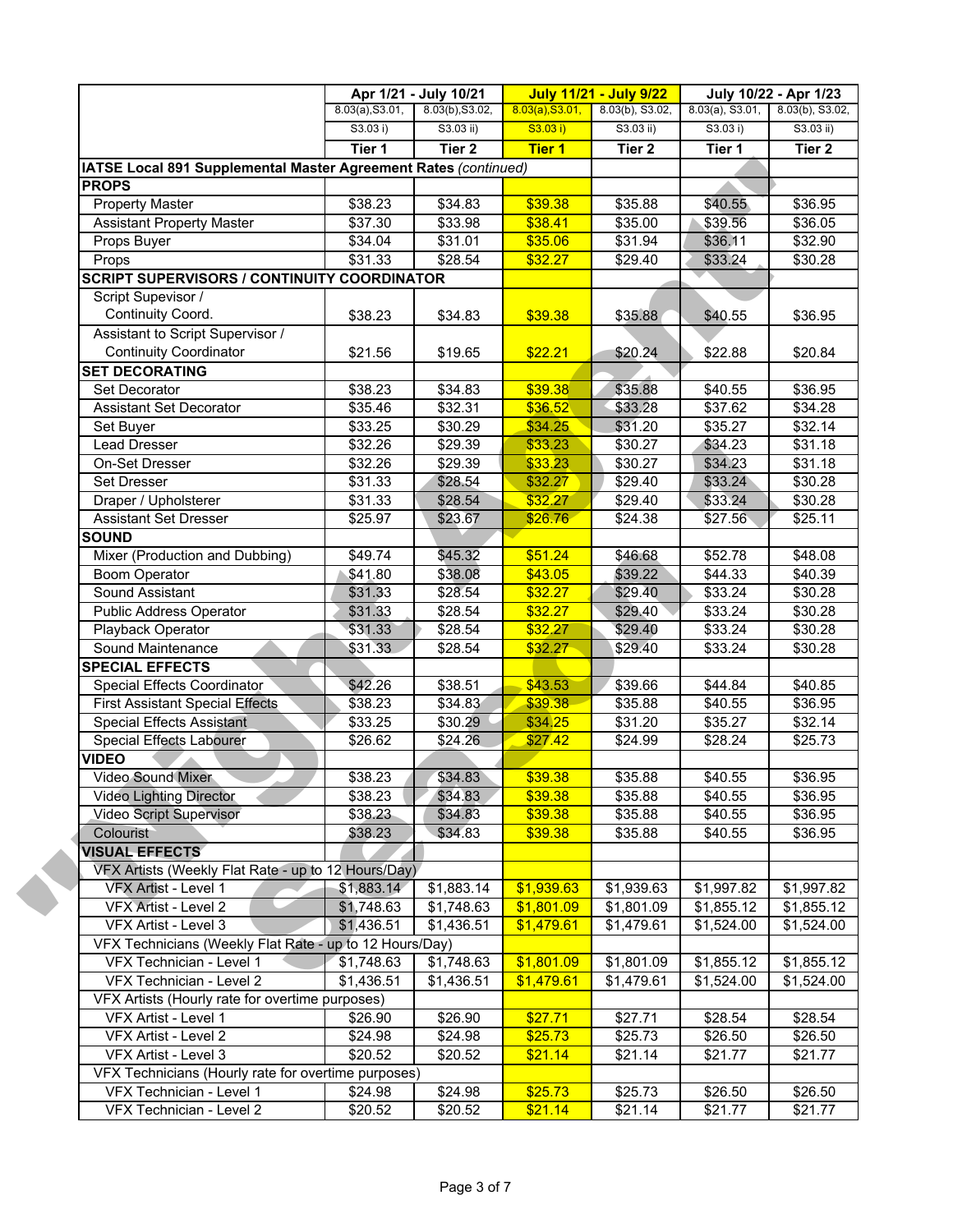|                                                                 |                 | Apr 1/21 - July 10/21 |                 | <b>July 11/21 - July 9/22</b> |                    | July 10/22 - Apr 1/23 |
|-----------------------------------------------------------------|-----------------|-----------------------|-----------------|-------------------------------|--------------------|-----------------------|
|                                                                 | 8.03(a), S3.01, | 8.03(b), S3.02,       | 8.03(a), S3.01, | 8.03(b), S3.02,               | $8.03(a)$ , S3.01, | 8.03(b), S3.02,       |
|                                                                 | S3.03 i)        | $S3.03$ ii)           | S3.03 i)        | $S3.03$ ii)                   | S3.03 i)           | $S3.03$ ii)           |
|                                                                 | Tier 1          | Tier <sub>2</sub>     | <b>Tier 1</b>   | Tier 2                        | Tier 1             | Tier <sub>2</sub>     |
| IATSE Local 891 Supplemental Master Agreement Rates (continued) |                 |                       |                 |                               |                    |                       |
| <b>PROPS</b>                                                    |                 |                       |                 |                               |                    |                       |
| <b>Property Master</b>                                          | \$38.23         | \$34.83               | \$39.38         | \$35.88                       | \$40.55            | \$36.95               |
| <b>Assistant Property Master</b>                                | \$37.30         | \$33.98               | \$38.41         | \$35.00                       | \$39.56            | \$36.05               |
| Props Buyer                                                     | \$34.04         | \$31.01               | \$35.06         | \$31.94                       | \$36.11            | \$32.90               |
| Props                                                           | \$31.33         | \$28.54               | \$32.27         | \$29.40                       | \$33.24            | \$30.28               |
| <b>SCRIPT SUPERVISORS / CONTINUITY COORDINATOR</b>              |                 |                       |                 |                               |                    |                       |
| Script Supevisor /                                              |                 |                       |                 |                               |                    |                       |
| Continuity Coord.                                               | \$38.23         | \$34.83               | \$39.38         | \$35.88                       | \$40.55            | \$36.95               |
| Assistant to Script Supervisor /                                |                 |                       |                 |                               |                    |                       |
| <b>Continuity Coordinator</b>                                   | \$21.56         | \$19.65               | \$22.21         | \$20.24                       | \$22.88            | \$20.84               |
| <b>SET DECORATING</b>                                           |                 |                       |                 |                               |                    |                       |
| Set Decorator                                                   | \$38.23         | \$34.83               | \$39.38         | \$35.88                       | \$40.55            | \$36.95               |
| Assistant Set Decorator                                         | \$35.46         | \$32.31               | \$36.52         | \$33.28                       | \$37.62            | \$34.28               |
| Set Buyer                                                       | \$33.25         | \$30.29               | \$34.25         | \$31.20                       | \$35.27            | \$32.14               |
| <b>Lead Dresser</b>                                             | \$32.26         | \$29.39               | \$33.23         | \$30.27                       | \$34.23            | \$31.18               |
| On-Set Dresser                                                  | \$32.26         | \$29.39               | \$33.23         | \$30.27                       | \$34.23            | \$31.18               |
| Set Dresser                                                     | \$31.33         | \$28.54               | \$32.27         | \$29.40                       | \$33.24            | \$30.28               |
| Draper / Upholsterer                                            | \$31.33         | \$28.54               | \$32.27         | \$29.40                       | \$33.24            | \$30.28               |
| Assistant Set Dresser                                           | \$25.97         | \$23.67               | \$26.76         | \$24.38                       | \$27.56            | \$25.11               |
| <b>SOUND</b>                                                    |                 |                       |                 |                               |                    |                       |
| Mixer (Production and Dubbing)                                  | \$49.74         | \$45.32               | \$51.24         | \$46.68                       | \$52.78            | \$48.08               |
| <b>Boom Operator</b>                                            | \$41.80         | \$38.08               | \$43.05         | \$39.22                       | \$44.33            | \$40.39               |
| Sound Assistant                                                 | \$31.33         | \$28.54               | \$32.27         | \$29.40                       | \$33.24            | \$30.28               |
| Public Address Operator                                         | \$31.33         | \$28.54               | \$32.27         | \$29.40                       | \$33.24            | \$30.28               |
| Playback Operator                                               | \$31.33         | $\overline{$28.54}$   | \$32.27         | \$29.40                       | \$33.24            | \$30.28               |
| Sound Maintenance                                               | \$31.33         | \$28.54               | \$32.27         | \$29.40                       | \$33.24            | \$30.28               |
| <b>SPECIAL EFFECTS</b>                                          |                 |                       |                 |                               |                    |                       |
| Special Effects Coordinator                                     | \$42.26         | \$38.51               | \$43.53         | \$39.66                       | \$44.84            | \$40.85               |
| <b>First Assistant Special Effects</b>                          | \$38.23         | \$34.83               | \$39.38         | \$35.88                       | \$40.55            | \$36.95               |
| <b>Special Effects Assistant</b>                                | \$33.25         | \$30.29               | \$34.25         | \$31.20                       | \$35.27            | \$32.14               |
| Special Effects Labourer                                        | \$26.62         | \$24.26               | \$27.42         | \$24.99                       | \$28.24            | \$25.73               |
| <b>VIDEO</b>                                                    |                 |                       |                 |                               |                    |                       |
| Video Sound Mixer                                               | \$38.23         | \$34.83               | \$39.38         | \$35.88                       | \$40.55            | \$36.95               |
| <b>Video Lighting Director</b>                                  | \$38.23         | \$34.83               | \$39.38         | \$35.88                       | \$40.55            | \$36.95               |
| Video Script Supervisor                                         | \$38.23         | \$34.83               | \$39.38         | \$35.88                       | \$40.55            | \$36.95               |
| Colourist                                                       | \$38.23         | \$34.83               | \$39.38         | \$35.88                       | \$40.55            | \$36.95               |
| <b>VISUAL EFFECTS</b>                                           |                 |                       |                 |                               |                    |                       |
| VFX Artists (Weekly Flat Rate - up to 12 Hours/Day)             |                 |                       |                 |                               |                    |                       |
| VFX Artist - Level 1                                            | \$1,883.14      | \$1,883.14            | \$1,939.63      | \$1,939.63                    | \$1,997.82         | \$1,997.82            |
| VFX Artist - Level 2                                            | \$1,748.63      | \$1,748.63            | \$1,801.09      | \$1,801.09                    | \$1,855.12         | \$1,855.12            |
| VFX Artist - Level 3                                            | \$1,436.51      | \$1,436.51            | \$1,479.61      | \$1,479.61                    | \$1,524.00         | \$1,524.00            |
| VFX Technicians (Weekly Flat Rate - up to 12 Hours/Day)         |                 |                       |                 |                               |                    |                       |
| VFX Technician - Level 1                                        | \$1,748.63      | \$1,748.63            | \$1,801.09      | \$1,801.09                    | \$1,855.12         | \$1,855.12            |
| VFX Technician - Level 2                                        | \$1,436.51      | \$1,436.51            | \$1,479.61      | \$1,479.61                    | \$1,524.00         | \$1,524.00            |
| VFX Artists (Hourly rate for overtime purposes)                 |                 |                       |                 |                               |                    |                       |
|                                                                 |                 |                       |                 |                               |                    |                       |
| VFX Artist - Level 1                                            | \$26.90         | \$26.90               | \$27.71         | \$27.71                       | \$28.54            | \$28.54               |
| VFX Artist - Level 2                                            | \$24.98         | \$24.98               | \$25.73         | \$25.73                       | \$26.50            | \$26.50               |
| VFX Artist - Level 3                                            | \$20.52         | \$20.52               | \$21.14         | \$21.14                       | \$21.77            | \$21.77               |
| VFX Technicians (Hourly rate for overtime purposes)             |                 |                       |                 |                               |                    |                       |
| VFX Technician - Level 1                                        | \$24.98         | \$24.98               | \$25.73         | \$25.73                       | \$26.50            | \$26.50               |
| VFX Technician - Level 2                                        | \$20.52         | \$20.52               | \$21.14         | \$21.14                       | \$21.77            | \$21.77               |